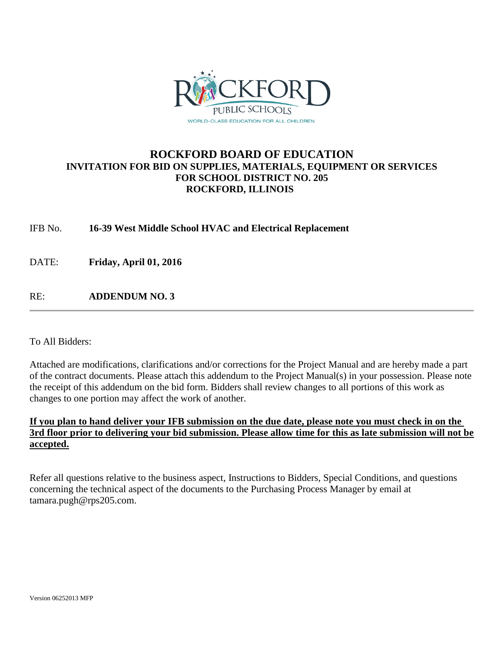

### **ROCKFORD BOARD OF EDUCATION INVITATION FOR BID ON SUPPLIES, MATERIALS, EQUIPMENT OR SERVICES FOR SCHOOL DISTRICT NO. 205 ROCKFORD, ILLINOIS**

IFB No. **16-39 West Middle School HVAC and Electrical Replacement**

DATE: **Friday, April 01, 2016**

RE: **ADDENDUM NO. 3**

To All Bidders:

Attached are modifications, clarifications and/or corrections for the Project Manual and are hereby made a part of the contract documents. Please attach this addendum to the Project Manual(s) in your possession. Please note the receipt of this addendum on the bid form. Bidders shall review changes to all portions of this work as changes to one portion may affect the work of another.

#### **If you plan to hand deliver your IFB submission on the due date, please note you must check in on the 3rd floor prior to delivering your bid submission. Please allow time for this as late submission will not be accepted.**

Refer all questions relative to the business aspect, Instructions to Bidders, Special Conditions, and questions concerning the technical aspect of the documents to the Purchasing Process Manager by email at tamara.pugh@rps205.com.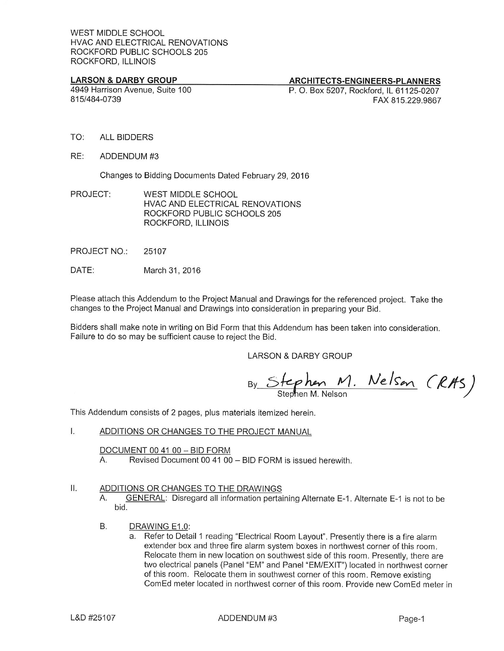#### **LARSON & DARBY GROUP**

4949 Harrison Avenue, Suite 100 815/484-0739

#### **ARCHITECTS-ENGINEERS-PLANNERS**

P. O. Box 5207, Rockford, IL 61125-0207 FAX 815.229.9867

- TO: **ALL BIDDERS**
- RE: ADDENDUM #3

Changes to Bidding Documents Dated February 29, 2016

- PROJECT: **WEST MIDDLE SCHOOL** HVAC AND ELECTRICAL RENOVATIONS ROCKFORD PUBLIC SCHOOLS 205 ROCKFORD, ILLINOIS
- PROJECT NO.: 25107
- DATE: March 31, 2016

Please attach this Addendum to the Project Manual and Drawings for the referenced project. Take the changes to the Project Manual and Drawings into consideration in preparing your Bid.

Bidders shall make note in writing on Bid Form that this Addendum has been taken into consideration. Failure to do so may be sufficient cause to reject the Bid.

**LARSON & DARBY GROUP** 

By Stephen M. Nelson (RAS)

This Addendum consists of 2 pages, plus materials itemized herein.

 $\overline{1}$ . ADDITIONS OR CHANGES TO THE PROJECT MANUAL

> DOCUMENT 00 41 00 - BID FORM Revised Document 00 41 00 - BID FORM is issued herewith. А.

#### $II.$ ADDITIONS OR CHANGES TO THE DRAWINGS

GENERAL: Disregard all information pertaining Alternate E-1. Alternate E-1 is not to be А. bid.

- **B.** DRAWING E1.0:
	- a. Refer to Detail 1 reading "Electrical Room Layout". Presently there is a fire alarm extender box and three fire alarm system boxes in northwest corner of this room. Relocate them in new location on southwest side of this room. Presently, there are two electrical panels (Panel "EM" and Panel "EM/EXIT") located in northwest corner of this room. Relocate them in southwest corner of this room. Remove existing ComEd meter located in northwest corner of this room. Provide new ComEd meter in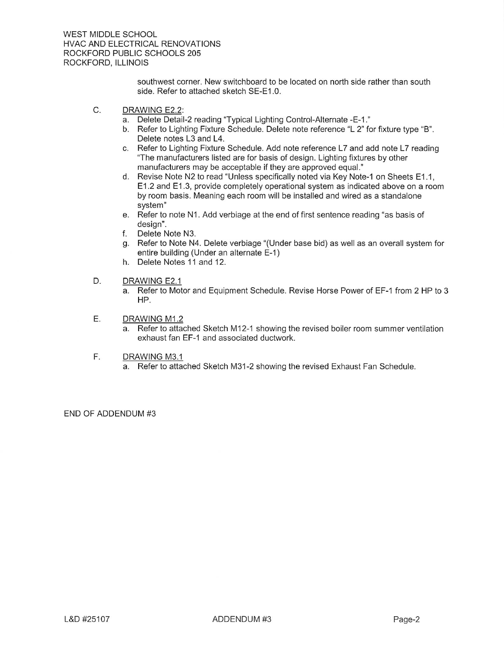southwest corner. New switchboard to be located on north side rather than south side. Refer to attached sketch SE-E1.0.

- C. DRAWING E2.2:
	- a. Delete Detail-2 reading "Typical Lighting Control-Alternate -E-1."
	- b. Refer to Lighting Fixture Schedule. Delete note reference "L 2" for fixture type "B". Delete notes L3 and L4.
	- c. Refer to Lighting Fixture Schedule. Add note reference L7 and add note L7 reading "The manufacturers listed are for basis of design. Lighting fixtures by other manufacturers may be acceptable if they are approved equal."
	- d. Revise Note N2 to read "Unless specifically noted via Key Note-1 on Sheets E1.1, E1.2 and E1.3, provide completely operational system as indicated above on a room by room basis. Meaning each room will be installed and wired as a standalone system"
	- e. Refer to note N1. Add verbiage at the end of first sentence reading "as basis of design".
	- f. Delete Note N3.
	- g. Refer to Note N4. Delete verbiage "(Under base bid) as well as an overall system for entire building (Under an alternate E-1)
	- h. Delete Notes 11 and 12.
- D. DRAWING E2.1
	- a. Refer to Motor and Equipment Schedule. Revise Horse Power of EF-1 from 2 HP to 3 HP.
- Ε. DRAWING M1.2
	- a. Refer to attached Sketch M12-1 showing the revised boiler room summer ventilation exhaust fan EF-1 and associated ductwork.
- DRAWING M3.1 F.
	- a. Refer to attached Sketch M31-2 showing the revised Exhaust Fan Schedule.

END OF ADDENDUM #3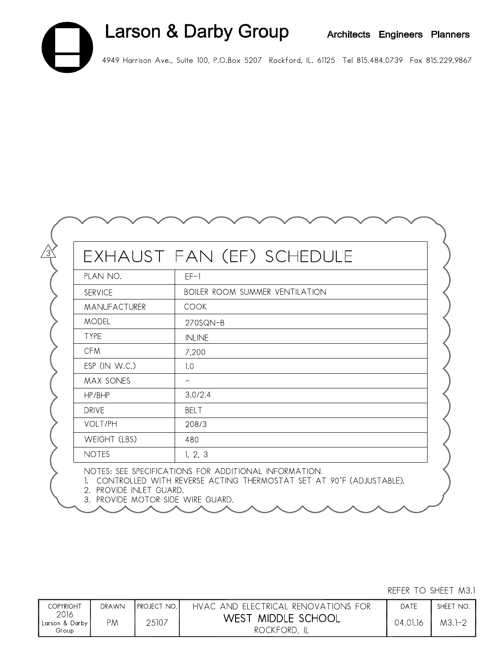## Larson & Darby Group Architects Engineers Planners 4949 Harrison Ave., Suite 100, P.O.Box 5207 Rockford, IL. 61125 Tel 815.484.0739 Fax 815.229.9867

EXHAUST FAN (EF) SCHEDULE

BOILER ROOM SUMMER VENTILATION

 $EF-1$ 

**COOK** 

**INLINE** 

7,200

 $3.0/2.4$ **BELT** 

 $208/3$ 

 $1, 2, 3$ 

NOTES: SEE SPECIFICATIONS FOR ADDITIONAL INFORMATION.

480

 $1.0$  $\equiv$ 

270SQN-B

PLAN NO.

MANUFACTURER

ESP (IN W.C.)

MAX SONES

WEIGHT (LBS)

**SERVICE** 

**MODEL** 

**TYPE** 

**CFM** 

HP/BHP

**DRIVE** VOLT/PH

**NOTES** 

1. CONTROLLED WITH REVERSE ACTING THERMOSTAT SET AT 90°F (ADJUSTABLE). 2. PROVIDE INLET GUARD.

3. PROVIDE MOTOR SIDE WIRE GUARD.

| <b>COPYRIGHT</b>                  | <b>DRAWN</b> | <b>IPROJECT NO.I</b> | HVAC AND ELECTRICAL RENOVATIONS FOR | DATE     | SHEET NO. |
|-----------------------------------|--------------|----------------------|-------------------------------------|----------|-----------|
| 2016<br>Larson & Darby  <br>Group | PМ           | 25107                | WEST MIDDLE SCHOOL<br>ROCKFORD, IL  | 04.01.16 | M3.1-2    |

REFER TO SHEET M3.1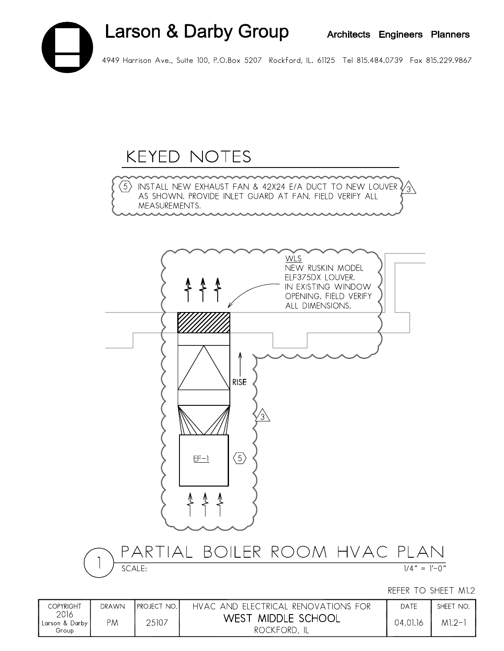# Larson & Darby Group Architects Engineers Planners 4949 Harrison Ave., Suite 100, P.O.Box 5207 Rockford, IL. 61125 Tel 815.484.0739 Fax 815.229.9867

### **KEYED NOTES**

 $\overline{3}$  install new exhaust fan & 42x24 e/a duct to new louver  $\sqrt{3}$ AS SHOWN. PROVIDE INLET GUARD AT FAN. FIELD VERIFY ALL MEASUREMENTS.



| COPYRIGHT                           | DRAWN | <b>IPROJECT NO.</b> | HVAC AND ELECTRICAL RENOVATIONS FOR | DATE     | SHEET NO. |
|-------------------------------------|-------|---------------------|-------------------------------------|----------|-----------|
| 2016<br>, Larson & Darby I<br>Group | PM    | 25107               | WEST MIDDLE SCHOOL<br>ROCKFORD,     | 04.01.16 | $M1.2-$   |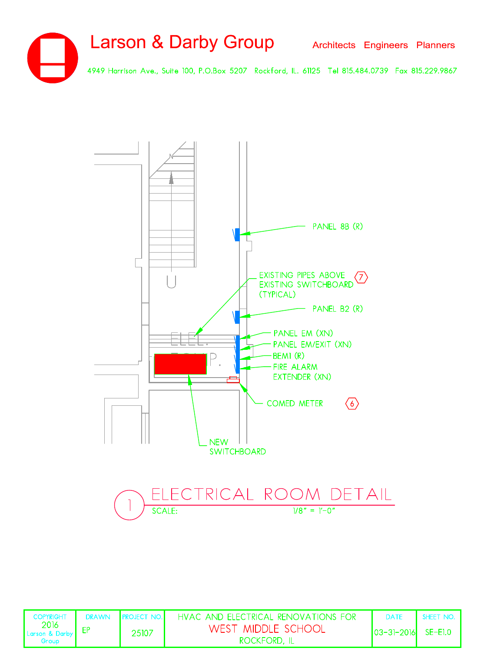



| <b>COPYRIGHT</b>                                                                             | DRAWN PROJECT NO. | HVAC AND ELECTRICAL RENOVATIONS FOR | DATE                   | SHEET NO. |
|----------------------------------------------------------------------------------------------|-------------------|-------------------------------------|------------------------|-----------|
| $\begin{array}{ l } \hline 2016 \\ \hline \text{Larson & Darby} \hline \end{array}$<br>Group | 25107             | WEST MIDDLE SCHOOL<br>ROCKFORD, IL  | $ 03-3 -2016 $ SE-E1.0 |           |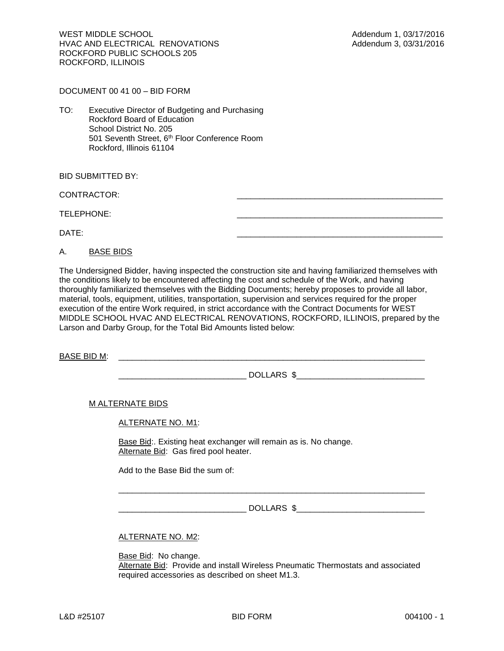WEST MIDDLE SCHOOL **Addendum 1, 03/17/2016** HVAC AND ELECTRICAL RENOVATIONS **Addendum 3, 03/31/2016** ROCKFORD PUBLIC SCHOOLS 205 ROCKFORD, ILLINOIS

DOCUMENT 00 41 00 – BID FORM

TO: Executive Director of Budgeting and Purchasing Rockford Board of Education School District No. 205 501 Seventh Street, 6<sup>th</sup> Floor Conference Room Rockford, Illinois 61104

BID SUBMITTED BY:

CONTRACTOR:

TELEPHONE:

DATE: \_\_\_\_\_\_\_\_\_\_\_\_\_\_\_\_\_\_\_\_\_\_\_\_\_\_\_\_\_\_\_\_\_\_\_\_\_\_\_\_\_\_\_\_\_

A. BASE BIDS

The Undersigned Bidder, having inspected the construction site and having familiarized themselves with the conditions likely to be encountered affecting the cost and schedule of the Work, and having thoroughly familiarized themselves with the Bidding Documents; hereby proposes to provide all labor, material, tools, equipment, utilities, transportation, supervision and services required for the proper execution of the entire Work required, in strict accordance with the Contract Documents for WEST MIDDLE SCHOOL HVAC AND ELECTRICAL RENOVATIONS, ROCKFORD, ILLINOIS, prepared by the Larson and Darby Group, for the Total Bid Amounts listed below:

BASE BID M:

 $DOLLARS \$ 

M ALTERNATE BIDS

ALTERNATE NO. M1:

Base Bid:. Existing heat exchanger will remain as is. No change. Alternate Bid: Gas fired pool heater.

Add to the Base Bid the sum of:

\_\_\_\_\_\_\_\_\_\_\_\_\_\_\_\_\_\_\_\_\_\_\_\_\_\_\_\_ DOLLARS \$\_\_\_\_\_\_\_\_\_\_\_\_\_\_\_\_\_\_\_\_\_\_\_\_\_\_\_\_

\_\_\_\_\_\_\_\_\_\_\_\_\_\_\_\_\_\_\_\_\_\_\_\_\_\_\_\_\_\_\_\_\_\_\_\_\_\_\_\_\_\_\_\_\_\_\_\_\_\_\_\_\_\_\_\_\_\_\_\_\_\_\_\_\_\_\_

ALTERNATE NO. M2:

Base Bid: No change. Alternate Bid: Provide and install Wireless Pneumatic Thermostats and associated required accessories as described on sheet M1.3.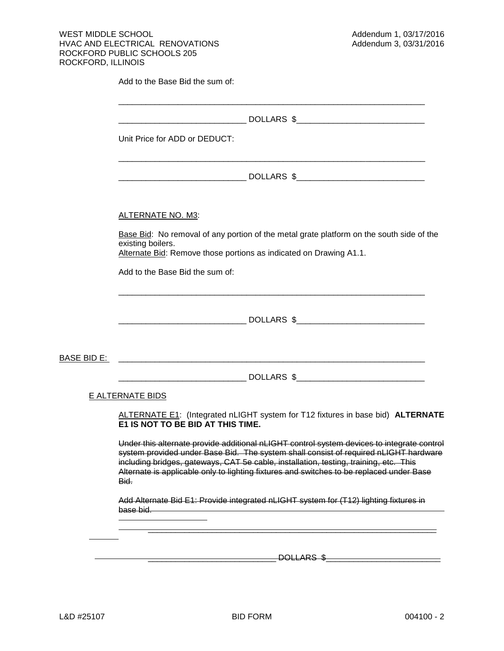Add to the Base Bid the sum of:

|                         | Unit Price for ADD or DEDUCT:                                                                                                                                                                                                                                                                                                                                           |  |  |  |  |  |
|-------------------------|-------------------------------------------------------------------------------------------------------------------------------------------------------------------------------------------------------------------------------------------------------------------------------------------------------------------------------------------------------------------------|--|--|--|--|--|
|                         |                                                                                                                                                                                                                                                                                                                                                                         |  |  |  |  |  |
|                         | ALTERNATE NO. M3:                                                                                                                                                                                                                                                                                                                                                       |  |  |  |  |  |
|                         | Base Bid: No removal of any portion of the metal grate platform on the south side of the<br>existing boilers.<br>Alternate Bid: Remove those portions as indicated on Drawing A1.1.                                                                                                                                                                                     |  |  |  |  |  |
|                         | Add to the Base Bid the sum of:                                                                                                                                                                                                                                                                                                                                         |  |  |  |  |  |
|                         |                                                                                                                                                                                                                                                                                                                                                                         |  |  |  |  |  |
| BASE BID E:             |                                                                                                                                                                                                                                                                                                                                                                         |  |  |  |  |  |
|                         |                                                                                                                                                                                                                                                                                                                                                                         |  |  |  |  |  |
| <b>E ALTERNATE BIDS</b> |                                                                                                                                                                                                                                                                                                                                                                         |  |  |  |  |  |
|                         | ALTERNATE E1: (Integrated nLIGHT system for T12 fixtures in base bid) ALTERNATE<br>E1 IS NOT TO BE BID AT THIS TIME.                                                                                                                                                                                                                                                    |  |  |  |  |  |
| Bid.                    | Under this alternate provide additional nLIGHT control system devices to integrate control<br>system provided under Base Bid. The system shall consist of required nLIGHT hardware<br>including bridges, gateways, CAT 5e cable, installation, testing, training, etc. This<br>Alternate is applicable only to lighting fixtures and switches to be replaced under Base |  |  |  |  |  |
| base bid.               | Add Alternate Bid E1: Provide integrated nLIGHT system for (T12) lighting fixtures in                                                                                                                                                                                                                                                                                   |  |  |  |  |  |
|                         |                                                                                                                                                                                                                                                                                                                                                                         |  |  |  |  |  |
|                         | DOLLARS \$                                                                                                                                                                                                                                                                                                                                                              |  |  |  |  |  |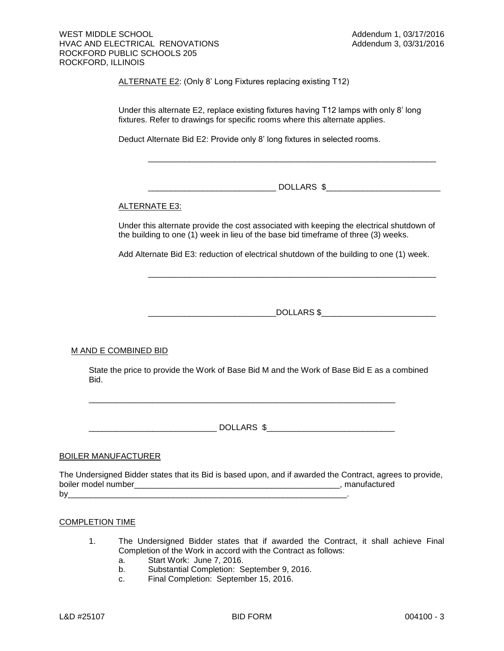ALTERNATE E2: (Only 8' Long Fixtures replacing existing T12)

Under this alternate E2, replace existing fixtures having T12 lamps with only 8' long fixtures. Refer to drawings for specific rooms where this alternate applies.

Deduct Alternate Bid E2: Provide only 8' long fixtures in selected rooms.

\_\_\_\_\_\_\_\_\_\_\_\_\_\_\_\_\_\_\_\_\_\_\_\_\_\_\_\_ DOLLARS \$\_\_\_\_\_\_\_\_\_\_\_\_\_\_\_\_\_\_\_\_\_\_\_\_\_

\_\_\_\_\_\_\_\_\_\_\_\_\_\_\_\_\_\_\_\_\_\_\_\_\_\_\_\_\_\_\_\_\_\_\_\_\_\_\_\_\_\_\_\_\_\_\_\_\_\_\_\_\_\_\_\_\_\_\_\_\_\_\_

#### ALTERNATE E3:

Under this alternate provide the cost associated with keeping the electrical shutdown of the building to one (1) week in lieu of the base bid timeframe of three (3) weeks.

Add Alternate Bid E3: reduction of electrical shutdown of the building to one (1) week.

\_\_\_\_\_\_\_\_\_\_\_\_\_\_\_\_\_\_\_\_\_\_\_\_\_\_\_\_DOLLARS \$\_\_\_\_\_\_\_\_\_\_\_\_\_\_\_\_\_\_\_\_\_\_\_\_\_

\_\_\_\_\_\_\_\_\_\_\_\_\_\_\_\_\_\_\_\_\_\_\_\_\_\_\_\_\_\_\_\_\_\_\_\_\_\_\_\_\_\_\_\_\_\_\_\_\_\_\_\_\_\_\_\_\_\_\_\_\_\_\_

#### M AND E COMBINED BID

State the price to provide the Work of Base Bid M and the Work of Base Bid E as a combined Bid.

\_\_\_\_\_\_\_\_\_\_\_\_\_\_\_\_\_\_\_\_\_\_\_\_\_\_\_\_ DOLLARS \$\_\_\_\_\_\_\_\_\_\_\_\_\_\_\_\_\_\_\_\_\_\_\_\_\_\_\_\_

\_\_\_\_\_\_\_\_\_\_\_\_\_\_\_\_\_\_\_\_\_\_\_\_\_\_\_\_\_\_\_\_\_\_\_\_\_\_\_\_\_\_\_\_\_\_\_\_\_\_\_\_\_\_\_\_\_\_\_\_\_\_\_\_\_\_\_

#### BOILER MANUFACTURER

The Undersigned Bidder states that its Bid is based upon, and if awarded the Contract, agrees to provide, boiler model number\_\_\_\_\_\_\_\_\_\_\_\_\_\_\_\_\_\_\_\_\_\_\_\_\_\_\_\_\_\_\_\_\_\_\_\_\_\_\_\_\_\_\_\_\_, manufactured by\_\_\_\_\_\_\_\_\_\_\_\_\_\_\_\_\_\_\_\_\_\_\_\_\_\_\_\_\_\_\_\_\_\_\_\_\_\_\_\_\_\_\_\_\_\_\_\_\_\_\_\_\_\_\_\_\_\_\_\_\_.

#### COMPLETION TIME

- 1. The Undersigned Bidder states that if awarded the Contract, it shall achieve Final Completion of the Work in accord with the Contract as follows:
	- a. Start Work: June 7, 2016.
	- b. Substantial Completion: September 9, 2016.
	- c. Final Completion: September 15, 2016.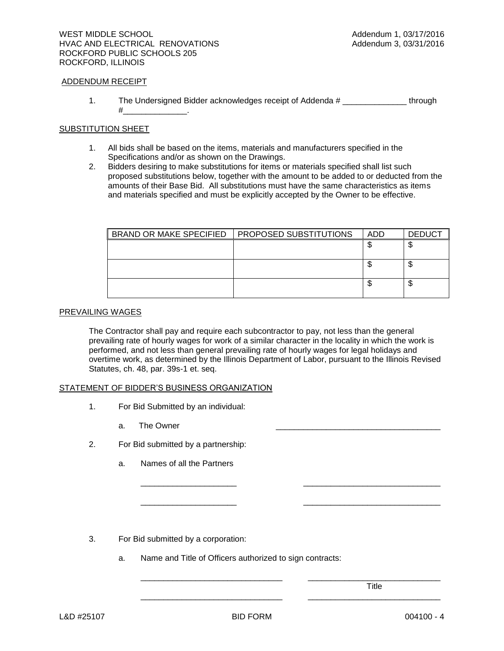#### ADDENDUM RECEIPT

1. The Undersigned Bidder acknowledges receipt of Addenda # \_\_\_\_\_\_\_\_\_\_\_\_\_\_\_\_ through  $\#$  .

#### SUBSTITUTION SHEET

- 1. All bids shall be based on the items, materials and manufacturers specified in the Specifications and/or as shown on the Drawings.
- 2. Bidders desiring to make substitutions for items or materials specified shall list such proposed substitutions below, together with the amount to be added to or deducted from the amounts of their Base Bid. All substitutions must have the same characteristics as items and materials specified and must be explicitly accepted by the Owner to be effective.

| BRAND OR MAKE SPECIFIED | <b>PROPOSED SUBSTITUTIONS</b> | ADD | <b>DEDUCT</b> |
|-------------------------|-------------------------------|-----|---------------|
|                         |                               |     | w             |
|                         |                               |     |               |
|                         |                               |     | ◡             |
|                         |                               |     |               |
|                         |                               |     | Ψ             |
|                         |                               |     |               |

#### PREVAILING WAGES

The Contractor shall pay and require each subcontractor to pay, not less than the general prevailing rate of hourly wages for work of a similar character in the locality in which the work is performed, and not less than general prevailing rate of hourly wages for legal holidays and overtime work, as determined by the Illinois Department of Labor, pursuant to the Illinois Revised Statutes, ch. 48, par. 39s-1 et. seq.

\_\_\_\_\_\_\_\_\_\_\_\_\_\_\_\_\_\_\_\_\_ \_\_\_\_\_\_\_\_\_\_\_\_\_\_\_\_\_\_\_\_\_\_\_\_\_\_\_\_\_\_

\_\_\_\_\_\_\_\_\_\_\_\_\_\_\_\_\_\_\_\_\_ \_\_\_\_\_\_\_\_\_\_\_\_\_\_\_\_\_\_\_\_\_\_\_\_\_\_\_\_\_\_

\_\_\_\_\_\_\_\_\_\_\_\_\_\_\_\_\_\_\_\_\_\_\_\_\_\_\_\_\_\_\_ \_\_\_\_\_\_\_\_\_\_\_\_\_\_\_\_\_\_\_\_\_\_\_\_\_\_\_\_\_

\_\_\_\_\_\_\_\_\_\_\_\_\_\_\_\_\_\_\_\_\_\_\_\_\_\_\_\_\_\_\_ \_\_\_\_\_\_\_\_\_\_\_\_\_\_\_\_\_\_\_\_\_\_\_\_\_\_\_\_\_

#### STATEMENT OF BIDDER'S BUSINESS ORGANIZATION

- 1. For Bid Submitted by an individual:
	- a. The Owner
- 2. For Bid submitted by a partnership:
	- a. Names of all the Partners

- 3. For Bid submitted by a corporation:
	- a. Name and Title of Officers authorized to sign contracts:

Title